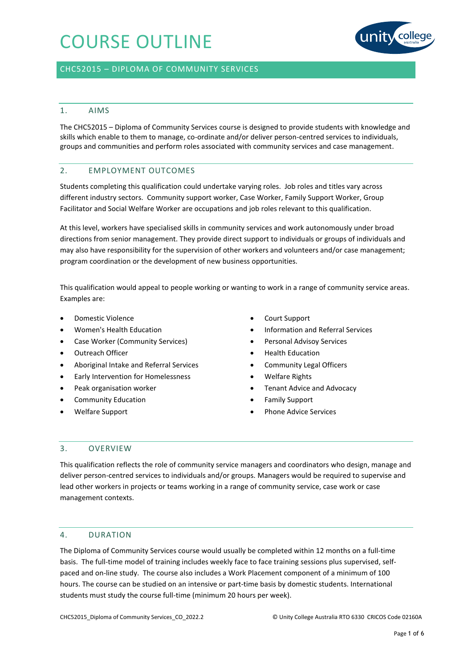

### CHC52015 – DIPLOMA OF COMMUNITY SERVICES

### 1. AIMS

The CHC52015 – Diploma of Community Services course is designed to provide students with knowledge and skills which enable to them to manage, co-ordinate and/or deliver person-centred services to individuals, groups and communities and perform roles associated with community services and case management.

### 2. EMPLOYMENT OUTCOMES

Students completing this qualification could undertake varying roles. Job roles and titles vary across different industry sectors. Community support worker, Case Worker, Family Support Worker, Group Facilitator and Social Welfare Worker are occupations and job roles relevant to this qualification.

At this level, workers have specialised skills in community services and work autonomously under broad directions from senior management. They provide direct support to individuals or groups of individuals and may also have responsibility for the supervision of other workers and volunteers and/or case management; program coordination or the development of new business opportunities.

This qualification would appeal to people working or wanting to work in a range of community service areas. Examples are:

- Domestic Violence
- Women's Health Education
- Case Worker (Community Services)
- Outreach Officer
- Aboriginal Intake and Referral Services
- Early Intervention for Homelessness
- Peak organisation worker
- Community Education
- Welfare Support
- Court Support
- Information and Referral Services
- Personal Advisoy Services
- Health Education
- Community Legal Officers
- Welfare Rights
- Tenant Advice and Advocacy
- Family Support
- Phone Advice Services

### 3. OVERVIEW

This qualification reflects the role of community service managers and coordinators who design, manage and deliver person-centred services to individuals and/or groups. Managers would be required to supervise and lead other workers in projects or teams working in a range of community service, case work or case management contexts.

### 4. DURATION

The Diploma of Community Services course would usually be completed within 12 months on a full-time basis. The full-time model of training includes weekly face to face training sessions plus supervised, selfpaced and on-line study. The course also includes a Work Placement component of a minimum of 100 hours. The course can be studied on an intensive or part-time basis by domestic students. International students must study the course full-time (minimum 20 hours per week).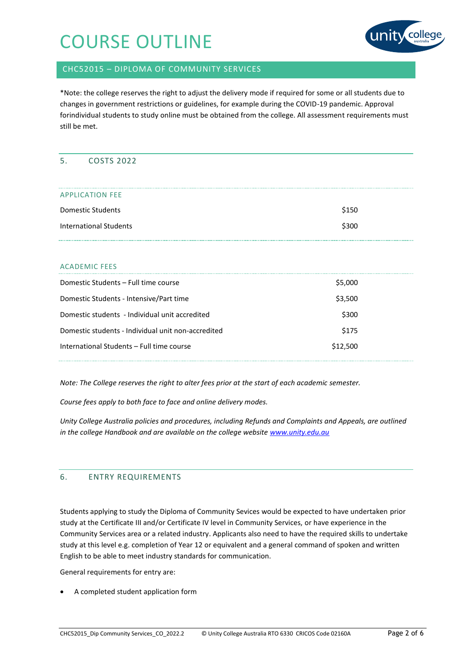

## CHC52015 – DIPLOMA OF COMMUNITY SERVICES

\*Note: the college reserves the right to adjust the delivery mode if required for some or all students due to changes in government restrictions or guidelines, for example during the COVID-19 pandemic. Approval forindividual students to study online must be obtained from the college. All assessment requirements must still be met.

### 5. COSTS 2022

| <b>APPLICATION FEE</b>        |       |
|-------------------------------|-------|
| Domestic Students             | \$150 |
| <b>International Students</b> | \$300 |

### ACADEMIC FEES

| \$5,000  |  |
|----------|--|
| \$3,500  |  |
| \$300    |  |
| \$175    |  |
| \$12,500 |  |
|          |  |

*Note: The College reserves the right to alter fees prior at the start of each academic semester.*

*Course fees apply to both face to face and online delivery modes.* 

*Unity College Australia policies and procedures, including Refunds and Complaints and Appeals, are outlined in the college Handbook and are available on the college website [www.unity.edu.au](http://www.unity.edu.au/)*

### 6. ENTRY REQUIREMENTS

Students applying to study the Diploma of Community Sevices would be expected to have undertaken prior study at the Certificate III and/or Certificate IV level in Community Services, or have experience in the Community Services area or a related industry. Applicants also need to have the required skills to undertake study at this level e.g. completion of Year 12 or equivalent and a general command of spoken and written English to be able to meet industry standards for communication.

General requirements for entry are:

A completed student application form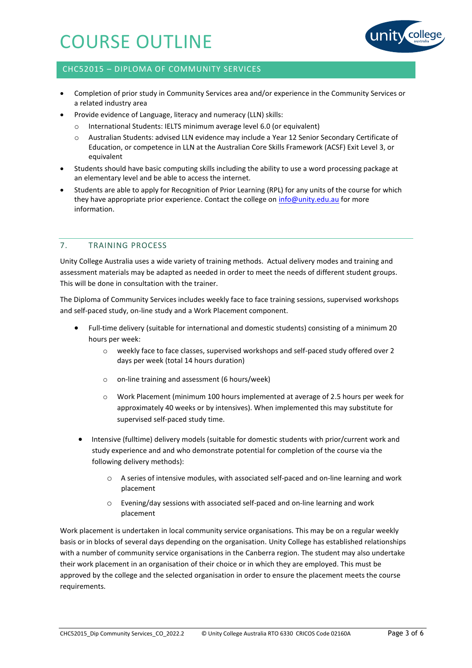

## CHC52015 – DIPLOMA OF COMMUNITY SERVICES

- Completion of prior study in Community Services area and/or experience in the Community Services or a related industry area
- Provide evidence of Language, literacy and numeracy (LLN) skills:
	- International Students: IELTS minimum average level 6.0 (or equivalent)
	- Australian Students: advised LLN evidence may include a Year 12 Senior Secondary Certificate of Education, or competence in LLN at the Australian Core Skills Framework (ACSF) Exit Level 3, or equivalent
- Students should have basic computing skills including the ability to use a word processing package at an elementary level and be able to access the internet.
- Students are able to apply for Recognition of Prior Learning (RPL) for any units of the course for which they have appropriate prior experience. Contact the college on [info@unity.edu.au](mailto:info@unity.edu.au) for more information.

## 7. TRAINING PROCESS

Unity College Australia uses a wide variety of training methods. Actual delivery modes and training and assessment materials may be adapted as needed in order to meet the needs of different student groups. This will be done in consultation with the trainer.

The Diploma of Community Services includes weekly face to face training sessions, supervised workshops and self-paced study, on-line study and a Work Placement component.

- Full-time delivery (suitable for international and domestic students) consisting of a minimum 20 hours per week:
	- o weekly face to face classes, supervised workshops and self-paced study offered over 2 days per week (total 14 hours duration)
	- o on-line training and assessment (6 hours/week)
	- o Work Placement (minimum 100 hours implemented at average of 2.5 hours per week for approximately 40 weeks or by intensives). When implemented this may substitute for supervised self-paced study time.
- Intensive (fulltime) delivery models (suitable for domestic students with prior/current work and study experience and and who demonstrate potential for completion of the course via the following delivery methods):
	- o A series of intensive modules, with associated self-paced and on-line learning and work placement
	- o Evening/day sessions with associated self-paced and on-line learning and work placement

Work placement is undertaken in local community service organisations. This may be on a regular weekly basis or in blocks of several days depending on the organisation. Unity College has established relationships with a number of community service organisations in the Canberra region. The student may also undertake their work placement in an organisation of their choice or in which they are employed. This must be approved by the college and the selected organisation in order to ensure the placement meets the course requirements.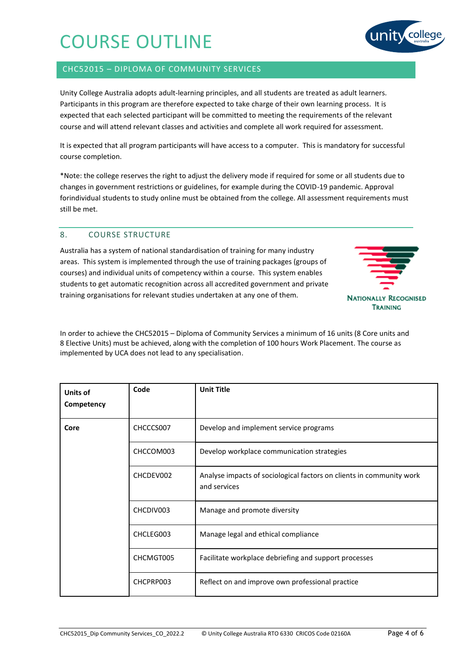## CHC52015 – DIPLOMA OF COMMUNITY SERVICES

Unity College Australia adopts adult-learning principles, and all students are treated as adult learners. Participants in this program are therefore expected to take charge of their own learning process. It is expected that each selected participant will be committed to meeting the requirements of the relevant course and will attend relevant classes and activities and complete all work required for assessment.

It is expected that all program participants will have access to a computer. This is mandatory for successful course completion.

\*Note: the college reserves the right to adjust the delivery mode if required for some or all students due to changes in government restrictions or guidelines, for example during the COVID-19 pandemic. Approval forindividual students to study online must be obtained from the college. All assessment requirements must still be met.

## 8. COURSE STRUCTURE

Australia has a system of national standardisation of training for many industry areas. This system is implemented through the use of training packages (groups of courses) and individual units of competency within a course. This system enables students to get automatic recognition across all accredited government and private training organisations for relevant studies undertaken at any one of them.



In order to achieve the CHC52015 – Diploma of Community Services a minimum of 16 units (8 Core units and 8 Elective Units) must be achieved, along with the completion of 100 hours Work Placement. The course as implemented by UCA does not lead to any specialisation.

| Units of<br>Competency | Code      | <b>Unit Title</b>                                                                    |
|------------------------|-----------|--------------------------------------------------------------------------------------|
| Core                   | CHCCCS007 | Develop and implement service programs                                               |
|                        | CHCCOM003 | Develop workplace communication strategies                                           |
|                        | CHCDEV002 | Analyse impacts of sociological factors on clients in community work<br>and services |
|                        | CHCDIV003 | Manage and promote diversity                                                         |
|                        | CHCLEG003 | Manage legal and ethical compliance                                                  |
|                        | CHCMGT005 | Facilitate workplace debriefing and support processes                                |
|                        | CHCPRP003 | Reflect on and improve own professional practice                                     |

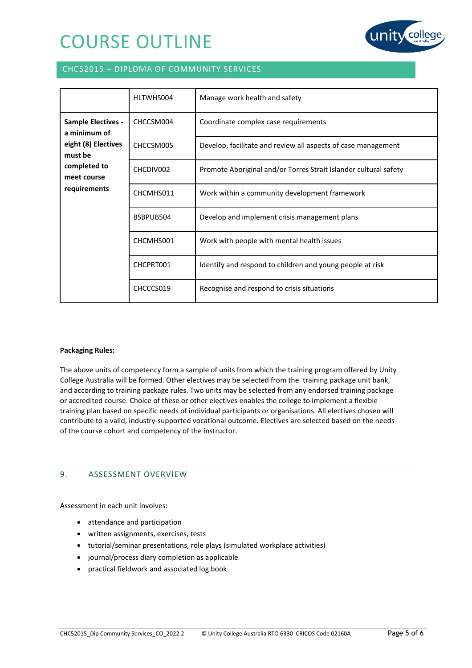

## CHC52015 – DIPLOMA OF COMMUNITY SERVICES

|                                                                                                                            | HLTWHS004 | Manage work health and safety                                    |
|----------------------------------------------------------------------------------------------------------------------------|-----------|------------------------------------------------------------------|
| <b>Sample Electives -</b><br>a minimum of<br>eight (8) Electives<br>must be<br>completed to<br>meet course<br>requirements | CHCCSM004 | Coordinate complex case requirements                             |
|                                                                                                                            | CHCCSM005 | Develop, facilitate and review all aspects of case management    |
|                                                                                                                            | CHCDIV002 | Promote Aboriginal and/or Torres Strait Islander cultural safety |
|                                                                                                                            | CHCMHS011 | Work within a community development framework                    |
|                                                                                                                            | BSBPUB504 | Develop and implement crisis management plans                    |
|                                                                                                                            | CHCMHS001 | Work with people with mental health issues                       |
|                                                                                                                            | CHCPRT001 | Identify and respond to children and young people at risk        |
|                                                                                                                            | CHCCCS019 | Recognise and respond to crisis situations                       |

#### **Packaging Rules:**

The above units of competency form a sample of units from which the training program offered by Unity College Australia will be formed. Other electives may be selected from the training package unit bank, and according to training package rules. Two units may be selected from any endorsed training package or accredited course. Choice of these or other electives enables the college to implement a flexible training plan based on specific needs of individual participants or organisations. All electives chosen will contribute to a valid, industry-supported vocational outcome. Electives are selected based on the needs of the course cohort and competency of the instructor.

### 9. ASSESSMENT OVERVIEW

Assessment in each unit involves:

- attendance and participation
- written assignments, exercises, tests
- tutorial/seminar presentations, role plays (simulated workplace activities)
- journal/process diary completion as applicable
- practical fieldwork and associated log book